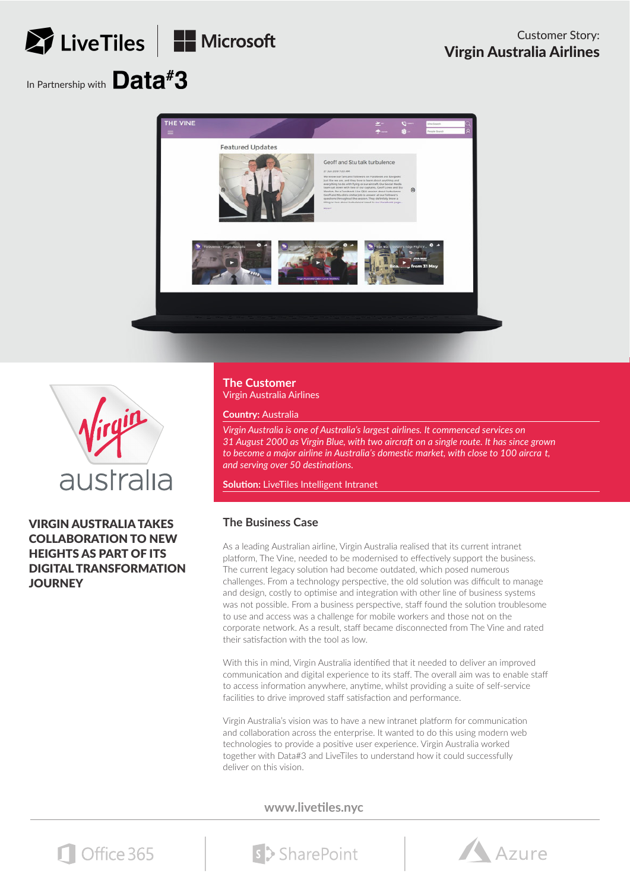## LiveTiles | H Microsoft In Partnership with Data<sup>#</sup>3





VIRGIN AUSTRALIA TAKES COLLABORATION TO NEW HEIGHTS AS PART OF ITS DIGITAL TRANSFORMATION **JOURNEY** 

**The Customer** Virgin Australia Airlines

**Country:** Australia

*Virgin Australia is one of Australia's largest airlines. It commenced services on 31 August 2000 as Virgin Blue, with two aircraft on a single route. It has since grown to become a major airline in Australia's domestic market, with close to 100 aircra t, and serving over 50 destinations.*

**Solution:** LiveTiles Intelligent Intranet

## **The Business Case**

As a leading Australian airline, Virgin Australia realised that its current intranet platform, The Vine, needed to be modernised to effectively support the business. The current legacy solution had become outdated, which posed numerous challenges. From a technology perspective, the old solution was difficult to manage and design, costly to optimise and integration with other line of business systems was not possible. From a business perspective, staff found the solution troublesome to use and access was a challenge for mobile workers and those not on the corporate network. As a result, staff became disconnected from The Vine and rated their satisfaction with the tool as low.

With this in mind, Virgin Australia identified that it needed to deliver an improved communication and digital experience to its staff. The overall aim was to enable staff to access information anywhere, anytime, whilst providing a suite of self-service facilities to drive improved staff satisfaction and performance.

Virgin Australia's vision was to have a new intranet platform for communication and collaboration across the enterprise. It wanted to do this using modern web technologies to provide a positive user experience. Virgin Australia worked together with Data#3 and LiveTiles to understand how it could successfully deliver on this vision.

**www.livetiles.nyc**



s > SharePoint